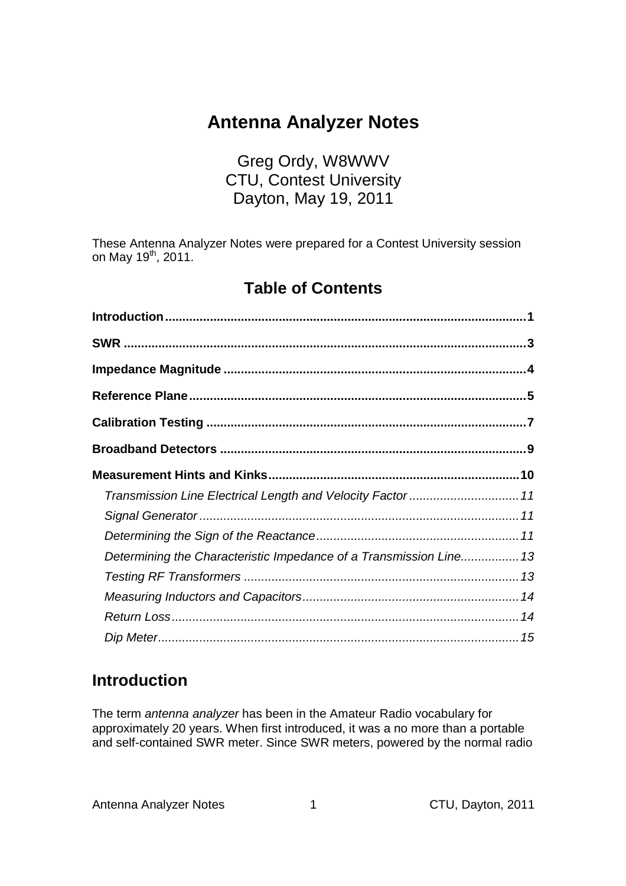# **Antenna Analyzer Notes**

## Greg Ordy, W8WWV CTU, Contest University Dayton, May 19, 2011

These Antenna Analyzer Notes were prepared for a Contest University session on May 19<sup>th</sup>, 2011.

## **Table of Contents**

| Transmission Line Electrical Length and Velocity Factor  11        |  |
|--------------------------------------------------------------------|--|
|                                                                    |  |
|                                                                    |  |
| Determining the Characteristic Impedance of a Transmission Line 13 |  |
|                                                                    |  |
|                                                                    |  |
|                                                                    |  |
|                                                                    |  |

## **Introduction**

The term antenna analyzer has been in the Amateur Radio vocabulary for approximately 20 years. When first introduced, it was a no more than a portable and self-contained SWR meter. Since SWR meters, powered by the normal radio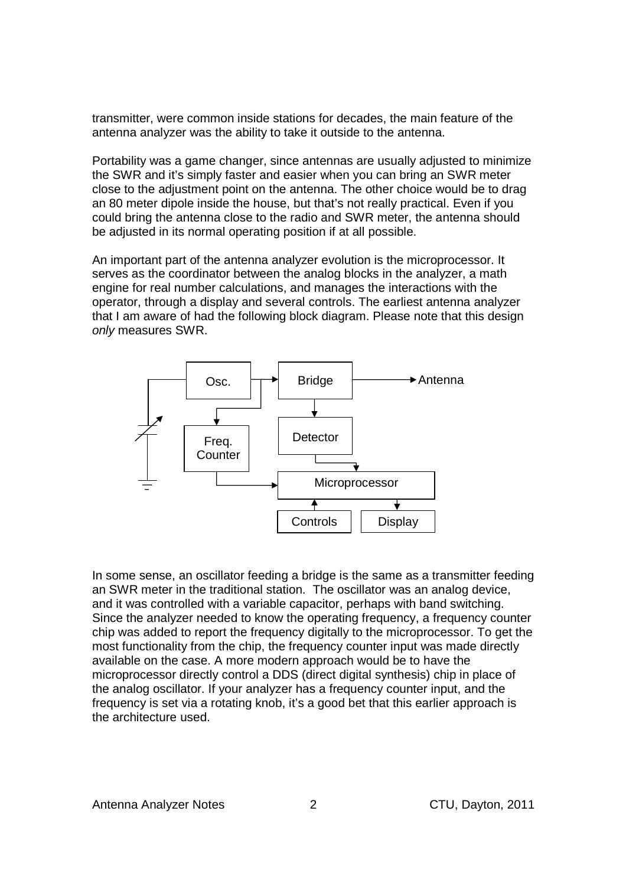transmitter, were common inside stations for decades, the main feature of the antenna analyzer was the ability to take it outside to the antenna.

Portability was a game changer, since antennas are usually adjusted to minimize the SWR and it's simply faster and easier when you can bring an SWR meter close to the adjustment point on the antenna. The other choice would be to drag an 80 meter dipole inside the house, but that's not really practical. Even if you could bring the antenna close to the radio and SWR meter, the antenna should be adjusted in its normal operating position if at all possible.

An important part of the antenna analyzer evolution is the microprocessor. It serves as the coordinator between the analog blocks in the analyzer, a math engine for real number calculations, and manages the interactions with the operator, through a display and several controls. The earliest antenna analyzer that I am aware of had the following block diagram. Please note that this design only measures SWR.



In some sense, an oscillator feeding a bridge is the same as a transmitter feeding an SWR meter in the traditional station. The oscillator was an analog device, and it was controlled with a variable capacitor, perhaps with band switching. Since the analyzer needed to know the operating frequency, a frequency counter chip was added to report the frequency digitally to the microprocessor. To get the most functionality from the chip, the frequency counter input was made directly available on the case. A more modern approach would be to have the microprocessor directly control a DDS (direct digital synthesis) chip in place of the analog oscillator. If your analyzer has a frequency counter input, and the frequency is set via a rotating knob, it's a good bet that this earlier approach is the architecture used.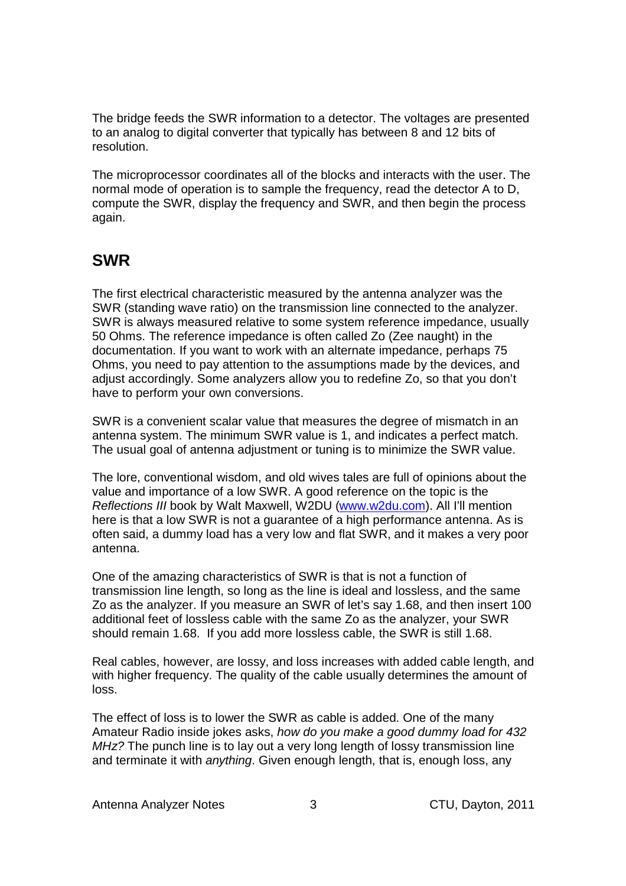The bridge feeds the SWR information to a detector. The voltages are presented to an analog to digital converter that typically has between 8 and 12 bits of resolution.

The microprocessor coordinates all of the blocks and interacts with the user. The normal mode of operation is to sample the frequency, read the detector A to D, compute the SWR, display the frequency and SWR, and then begin the process again.

## **SWR**

The first electrical characteristic measured by the antenna analyzer was the SWR (standing wave ratio) on the transmission line connected to the analyzer. SWR is always measured relative to some system reference impedance, usually 50 Ohms. The reference impedance is often called Zo (Zee naught) in the documentation. If you want to work with an alternate impedance, perhaps 75 Ohms, you need to pay attention to the assumptions made by the devices, and adjust accordingly. Some analyzers allow you to redefine Zo, so that you don't have to perform your own conversions.

SWR is a convenient scalar value that measures the degree of mismatch in an antenna system. The minimum SWR value is 1, and indicates a perfect match. The usual goal of antenna adjustment or tuning is to minimize the SWR value.

The lore, conventional wisdom, and old wives tales are full of opinions about the value and importance of a low SWR. A good reference on the topic is the Reflections III book by Walt Maxwell, W2DU (www.w2du.com). All I'll mention here is that a low SWR is not a guarantee of a high performance antenna. As is often said, a dummy load has a very low and flat SWR, and it makes a very poor antenna.

One of the amazing characteristics of SWR is that is not a function of transmission line length, so long as the line is ideal and lossless, and the same Zo as the analyzer. If you measure an SWR of let's say 1.68, and then insert 100 additional feet of lossless cable with the same Zo as the analyzer, your SWR should remain 1.68. If you add more lossless cable, the SWR is still 1.68.

Real cables, however, are lossy, and loss increases with added cable length, and with higher frequency. The quality of the cable usually determines the amount of loss.

The effect of loss is to lower the SWR as cable is added. One of the many Amateur Radio inside jokes asks, how do you make a good dummy load for 432 MHz? The punch line is to lay out a very long length of lossy transmission line and terminate it with *anything*. Given enough length, that is, enough loss, any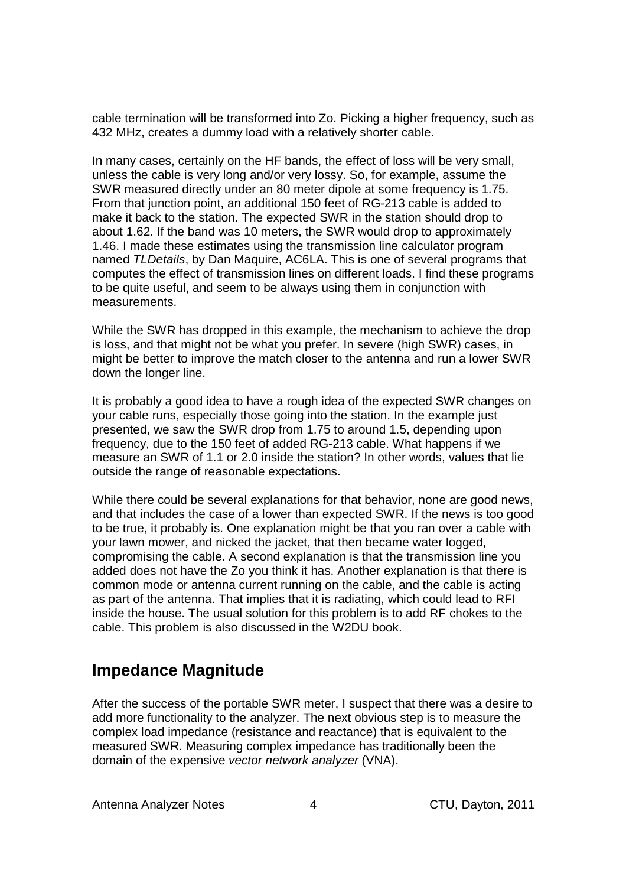cable termination will be transformed into Zo. Picking a higher frequency, such as 432 MHz, creates a dummy load with a relatively shorter cable.

In many cases, certainly on the HF bands, the effect of loss will be very small, unless the cable is very long and/or very lossy. So, for example, assume the SWR measured directly under an 80 meter dipole at some frequency is 1.75. From that junction point, an additional 150 feet of RG-213 cable is added to make it back to the station. The expected SWR in the station should drop to about 1.62. If the band was 10 meters, the SWR would drop to approximately 1.46. I made these estimates using the transmission line calculator program named TLDetails, by Dan Maquire, AC6LA. This is one of several programs that computes the effect of transmission lines on different loads. I find these programs to be quite useful, and seem to be always using them in conjunction with measurements.

While the SWR has dropped in this example, the mechanism to achieve the drop is loss, and that might not be what you prefer. In severe (high SWR) cases, in might be better to improve the match closer to the antenna and run a lower SWR down the longer line.

It is probably a good idea to have a rough idea of the expected SWR changes on your cable runs, especially those going into the station. In the example just presented, we saw the SWR drop from 1.75 to around 1.5, depending upon frequency, due to the 150 feet of added RG-213 cable. What happens if we measure an SWR of 1.1 or 2.0 inside the station? In other words, values that lie outside the range of reasonable expectations.

While there could be several explanations for that behavior, none are good news, and that includes the case of a lower than expected SWR. If the news is too good to be true, it probably is. One explanation might be that you ran over a cable with your lawn mower, and nicked the jacket, that then became water logged, compromising the cable. A second explanation is that the transmission line you added does not have the Zo you think it has. Another explanation is that there is common mode or antenna current running on the cable, and the cable is acting as part of the antenna. That implies that it is radiating, which could lead to RFI inside the house. The usual solution for this problem is to add RF chokes to the cable. This problem is also discussed in the W2DU book.

## **Impedance Magnitude**

After the success of the portable SWR meter, I suspect that there was a desire to add more functionality to the analyzer. The next obvious step is to measure the complex load impedance (resistance and reactance) that is equivalent to the measured SWR. Measuring complex impedance has traditionally been the domain of the expensive vector network analyzer (VNA).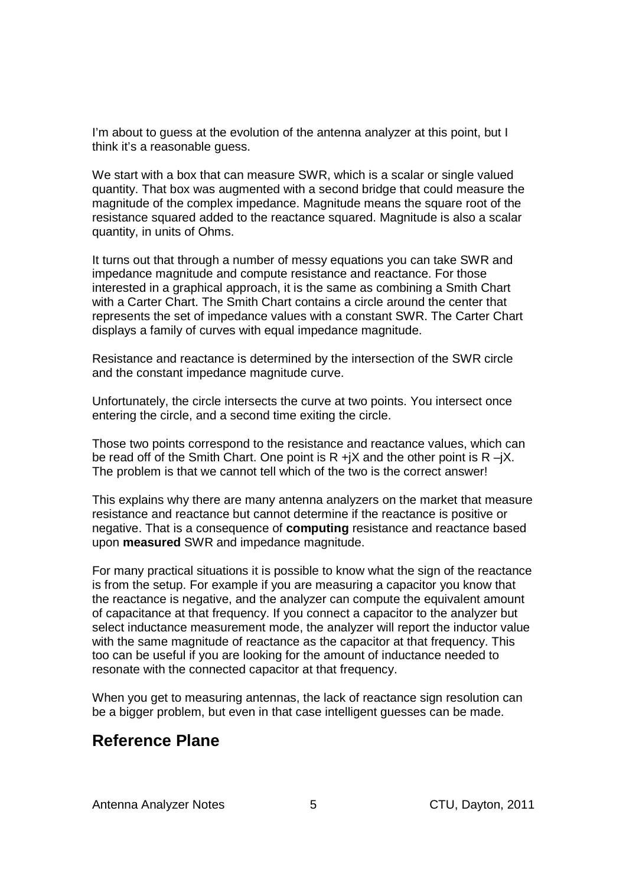I'm about to quess at the evolution of the antenna analyzer at this point, but I think it's a reasonable guess.

We start with a box that can measure SWR, which is a scalar or single valued quantity. That box was augmented with a second bridge that could measure the magnitude of the complex impedance. Magnitude means the square root of the resistance squared added to the reactance squared. Magnitude is also a scalar quantity, in units of Ohms.

It turns out that through a number of messy equations you can take SWR and impedance magnitude and compute resistance and reactance. For those interested in a graphical approach, it is the same as combining a Smith Chart with a Carter Chart. The Smith Chart contains a circle around the center that represents the set of impedance values with a constant SWR. The Carter Chart displays a family of curves with equal impedance magnitude.

Resistance and reactance is determined by the intersection of the SWR circle and the constant impedance magnitude curve.

Unfortunately, the circle intersects the curve at two points. You intersect once entering the circle, and a second time exiting the circle.

Those two points correspond to the resistance and reactance values, which can be read off of the Smith Chart. One point is  $R + iX$  and the other point is  $R - iX$ . The problem is that we cannot tell which of the two is the correct answer!

This explains why there are many antenna analyzers on the market that measure resistance and reactance but cannot determine if the reactance is positive or negative. That is a consequence of **computing** resistance and reactance based upon **measured** SWR and impedance magnitude.

For many practical situations it is possible to know what the sign of the reactance is from the setup. For example if you are measuring a capacitor you know that the reactance is negative, and the analyzer can compute the equivalent amount of capacitance at that frequency. If you connect a capacitor to the analyzer but select inductance measurement mode, the analyzer will report the inductor value with the same magnitude of reactance as the capacitor at that frequency. This too can be useful if you are looking for the amount of inductance needed to resonate with the connected capacitor at that frequency.

When you get to measuring antennas, the lack of reactance sign resolution can be a bigger problem, but even in that case intelligent guesses can be made.

### **Reference Plane**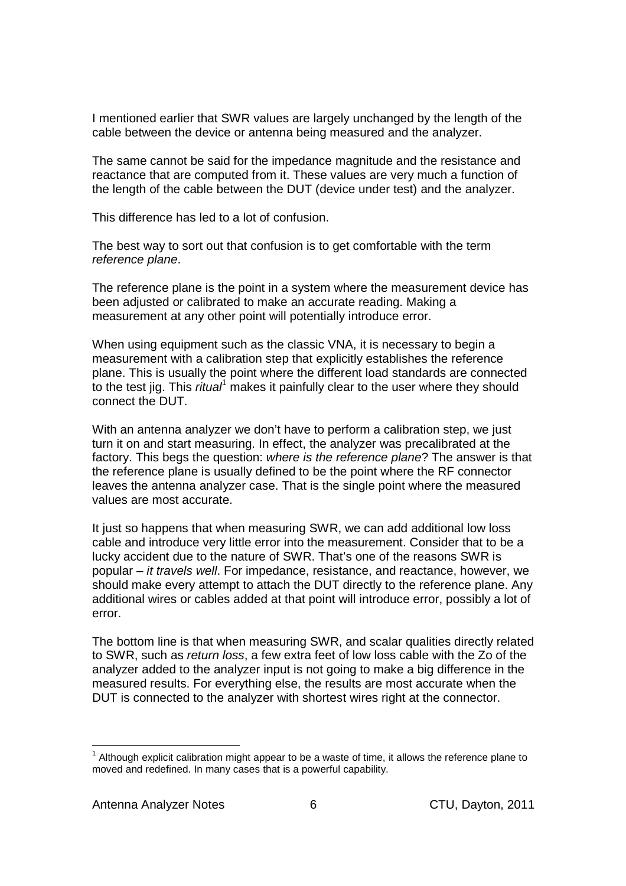I mentioned earlier that SWR values are largely unchanged by the length of the cable between the device or antenna being measured and the analyzer.

The same cannot be said for the impedance magnitude and the resistance and reactance that are computed from it. These values are very much a function of the length of the cable between the DUT (device under test) and the analyzer.

This difference has led to a lot of confusion.

The best way to sort out that confusion is to get comfortable with the term reference plane.

The reference plane is the point in a system where the measurement device has been adjusted or calibrated to make an accurate reading. Making a measurement at any other point will potentially introduce error.

When using equipment such as the classic VNA, it is necessary to begin a measurement with a calibration step that explicitly establishes the reference plane. This is usually the point where the different load standards are connected to the test jig. This *ritual*<sup>1</sup> makes it painfully clear to the user where they should connect the DUT.

With an antenna analyzer we don't have to perform a calibration step, we just turn it on and start measuring. In effect, the analyzer was precalibrated at the factory. This begs the question: where is the reference plane? The answer is that the reference plane is usually defined to be the point where the RF connector leaves the antenna analyzer case. That is the single point where the measured values are most accurate.

It just so happens that when measuring SWR, we can add additional low loss cable and introduce very little error into the measurement. Consider that to be a lucky accident due to the nature of SWR. That's one of the reasons SWR is popular – it travels well. For impedance, resistance, and reactance, however, we should make every attempt to attach the DUT directly to the reference plane. Any additional wires or cables added at that point will introduce error, possibly a lot of error.

The bottom line is that when measuring SWR, and scalar qualities directly related to SWR, such as return loss, a few extra feet of low loss cable with the Zo of the analyzer added to the analyzer input is not going to make a big difference in the measured results. For everything else, the results are most accurate when the DUT is connected to the analyzer with shortest wires right at the connector.

-

 $1$  Although explicit calibration might appear to be a waste of time, it allows the reference plane to moved and redefined. In many cases that is a powerful capability.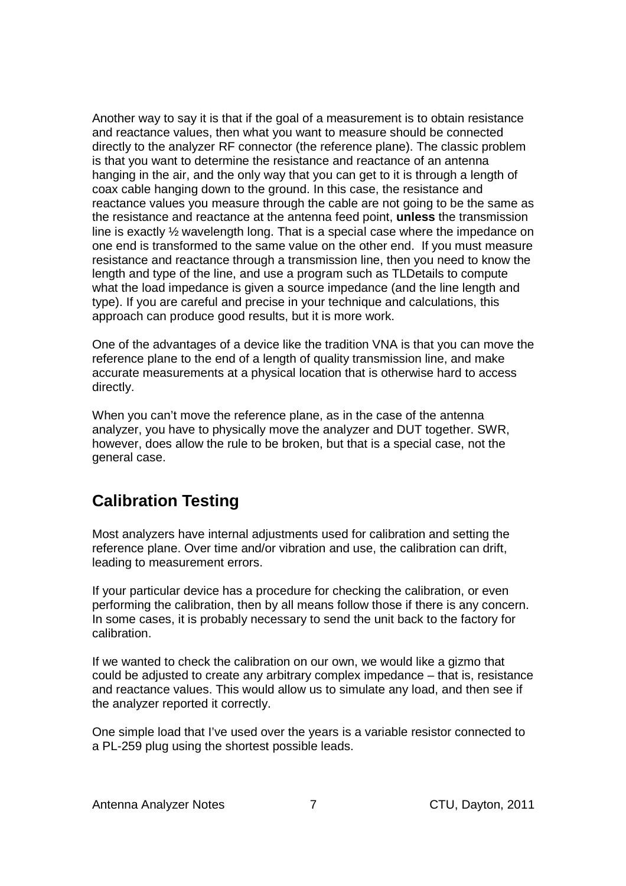Another way to say it is that if the goal of a measurement is to obtain resistance and reactance values, then what you want to measure should be connected directly to the analyzer RF connector (the reference plane). The classic problem is that you want to determine the resistance and reactance of an antenna hanging in the air, and the only way that you can get to it is through a length of coax cable hanging down to the ground. In this case, the resistance and reactance values you measure through the cable are not going to be the same as the resistance and reactance at the antenna feed point, **unless** the transmission line is exactly ½ wavelength long. That is a special case where the impedance on one end is transformed to the same value on the other end. If you must measure resistance and reactance through a transmission line, then you need to know the length and type of the line, and use a program such as TLDetails to compute what the load impedance is given a source impedance (and the line length and type). If you are careful and precise in your technique and calculations, this approach can produce good results, but it is more work.

One of the advantages of a device like the tradition VNA is that you can move the reference plane to the end of a length of quality transmission line, and make accurate measurements at a physical location that is otherwise hard to access directly.

When you can't move the reference plane, as in the case of the antenna analyzer, you have to physically move the analyzer and DUT together. SWR, however, does allow the rule to be broken, but that is a special case, not the general case.

## **Calibration Testing**

Most analyzers have internal adjustments used for calibration and setting the reference plane. Over time and/or vibration and use, the calibration can drift, leading to measurement errors.

If your particular device has a procedure for checking the calibration, or even performing the calibration, then by all means follow those if there is any concern. In some cases, it is probably necessary to send the unit back to the factory for calibration.

If we wanted to check the calibration on our own, we would like a gizmo that could be adjusted to create any arbitrary complex impedance – that is, resistance and reactance values. This would allow us to simulate any load, and then see if the analyzer reported it correctly.

One simple load that I've used over the years is a variable resistor connected to a PL-259 plug using the shortest possible leads.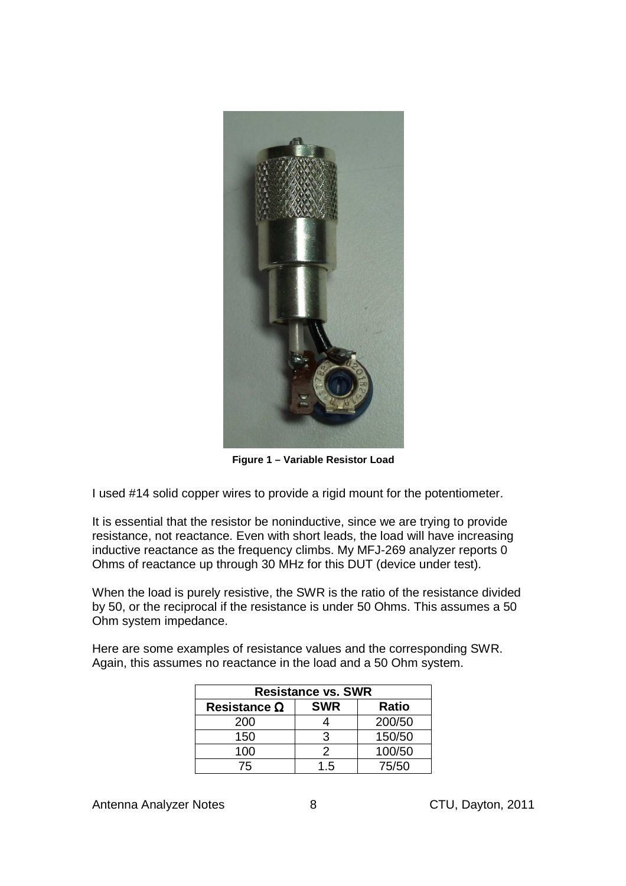

**Figure 1 – Variable Resistor Load** 

I used #14 solid copper wires to provide a rigid mount for the potentiometer.

It is essential that the resistor be noninductive, since we are trying to provide resistance, not reactance. Even with short leads, the load will have increasing inductive reactance as the frequency climbs. My MFJ-269 analyzer reports 0 Ohms of reactance up through 30 MHz for this DUT (device under test).

When the load is purely resistive, the SWR is the ratio of the resistance divided by 50, or the reciprocal if the resistance is under 50 Ohms. This assumes a 50 Ohm system impedance.

Here are some examples of resistance values and the corresponding SWR. Again, this assumes no reactance in the load and a 50 Ohm system.

| <b>Resistance vs. SWR</b> |            |        |  |  |
|---------------------------|------------|--------|--|--|
| Resistance $\Omega$       | <b>SWR</b> | Ratio  |  |  |
| 200                       |            | 200/50 |  |  |
| 150                       | З          | 150/50 |  |  |
| 100                       | 2          | 100/50 |  |  |
| 75                        | 1.5        | 75/50  |  |  |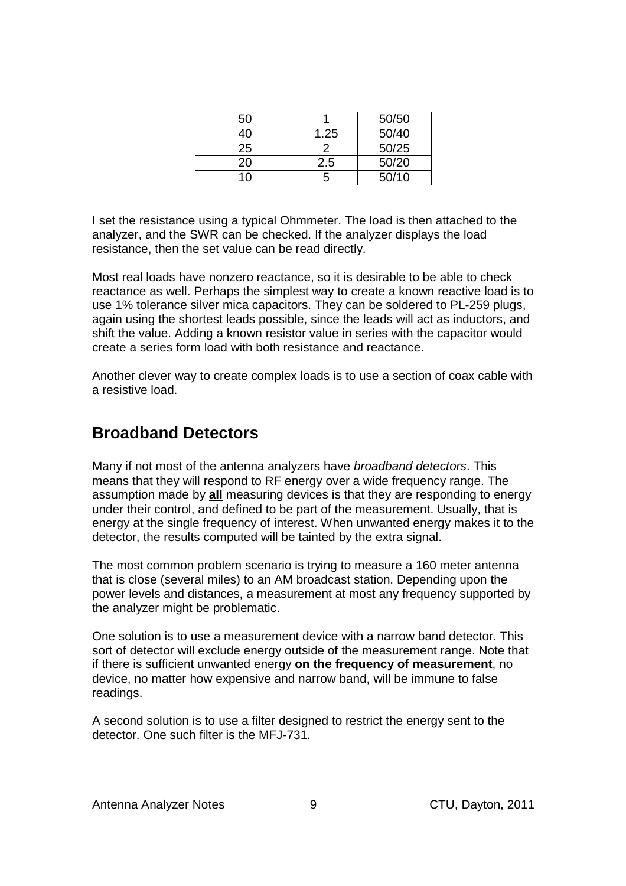| 50 |      | 50/50 |
|----|------|-------|
| 4Ο | 1.25 | 50/40 |
| 25 |      | 50/25 |
| 20 | 2.5  | 50/20 |
| 1∩ | h    | 50/10 |

I set the resistance using a typical Ohmmeter. The load is then attached to the analyzer, and the SWR can be checked. If the analyzer displays the load resistance, then the set value can be read directly.

Most real loads have nonzero reactance, so it is desirable to be able to check reactance as well. Perhaps the simplest way to create a known reactive load is to use 1% tolerance silver mica capacitors. They can be soldered to PL-259 plugs, again using the shortest leads possible, since the leads will act as inductors, and shift the value. Adding a known resistor value in series with the capacitor would create a series form load with both resistance and reactance.

Another clever way to create complex loads is to use a section of coax cable with a resistive load.

## **Broadband Detectors**

Many if not most of the antenna analyzers have broadband detectors. This means that they will respond to RF energy over a wide frequency range. The assumption made by **all** measuring devices is that they are responding to energy under their control, and defined to be part of the measurement. Usually, that is energy at the single frequency of interest. When unwanted energy makes it to the detector, the results computed will be tainted by the extra signal.

The most common problem scenario is trying to measure a 160 meter antenna that is close (several miles) to an AM broadcast station. Depending upon the power levels and distances, a measurement at most any frequency supported by the analyzer might be problematic.

One solution is to use a measurement device with a narrow band detector. This sort of detector will exclude energy outside of the measurement range. Note that if there is sufficient unwanted energy **on the frequency of measurement**, no device, no matter how expensive and narrow band, will be immune to false readings.

A second solution is to use a filter designed to restrict the energy sent to the detector. One such filter is the MFJ-731.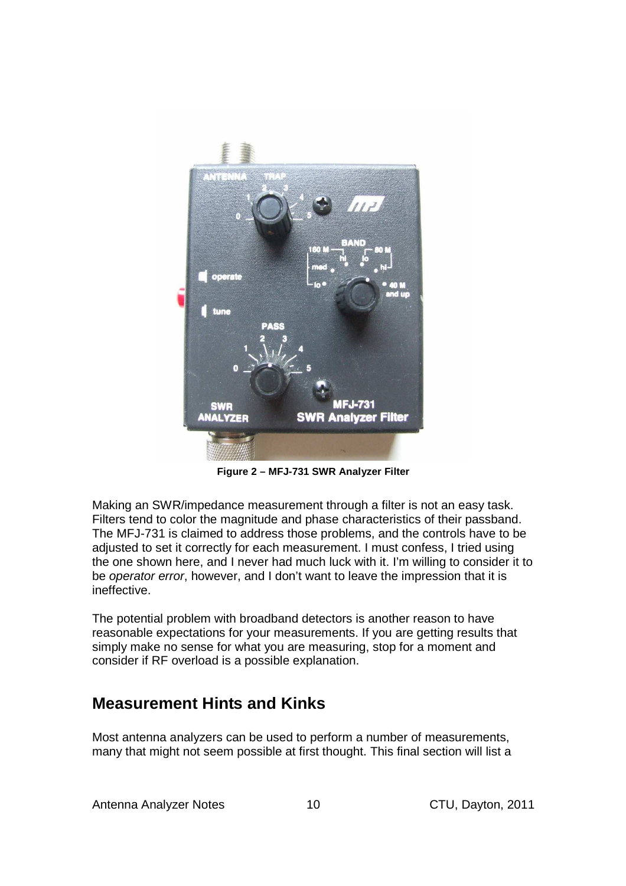

**Figure 2 – MFJ-731 SWR Analyzer Filter** 

Making an SWR/impedance measurement through a filter is not an easy task. Filters tend to color the magnitude and phase characteristics of their passband. The MFJ-731 is claimed to address those problems, and the controls have to be adjusted to set it correctly for each measurement. I must confess, I tried using the one shown here, and I never had much luck with it. I'm willing to consider it to be *operator error*, however, and I don't want to leave the impression that it is ineffective.

The potential problem with broadband detectors is another reason to have reasonable expectations for your measurements. If you are getting results that simply make no sense for what you are measuring, stop for a moment and consider if RF overload is a possible explanation.

## **Measurement Hints and Kinks**

Most antenna analyzers can be used to perform a number of measurements, many that might not seem possible at first thought. This final section will list a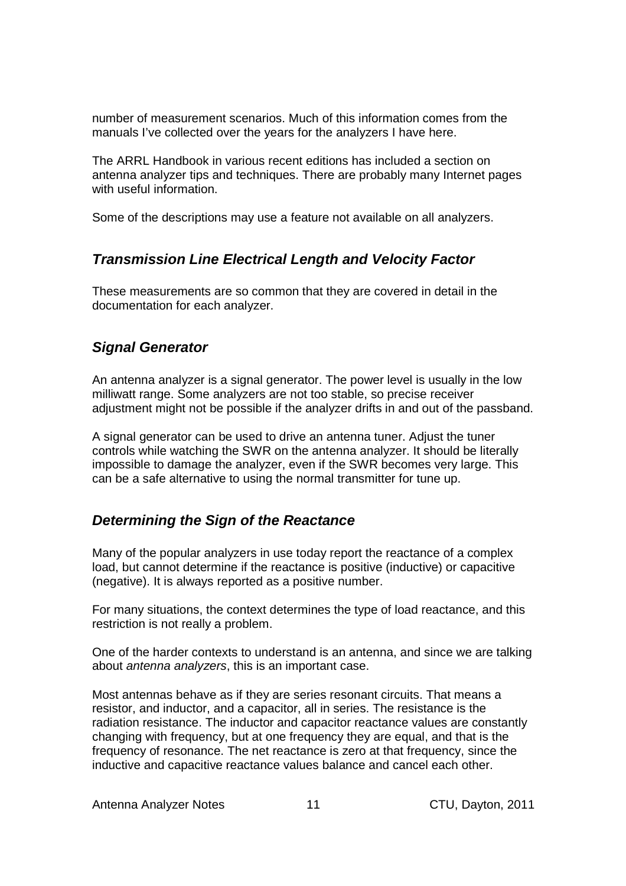number of measurement scenarios. Much of this information comes from the manuals I've collected over the years for the analyzers I have here.

The ARRL Handbook in various recent editions has included a section on antenna analyzer tips and techniques. There are probably many Internet pages with useful information.

Some of the descriptions may use a feature not available on all analyzers.

#### **Transmission Line Electrical Length and Velocity Factor**

These measurements are so common that they are covered in detail in the documentation for each analyzer.

### **Signal Generator**

An antenna analyzer is a signal generator. The power level is usually in the low milliwatt range. Some analyzers are not too stable, so precise receiver adjustment might not be possible if the analyzer drifts in and out of the passband.

A signal generator can be used to drive an antenna tuner. Adjust the tuner controls while watching the SWR on the antenna analyzer. It should be literally impossible to damage the analyzer, even if the SWR becomes very large. This can be a safe alternative to using the normal transmitter for tune up.

#### **Determining the Sign of the Reactance**

Many of the popular analyzers in use today report the reactance of a complex load, but cannot determine if the reactance is positive (inductive) or capacitive (negative). It is always reported as a positive number.

For many situations, the context determines the type of load reactance, and this restriction is not really a problem.

One of the harder contexts to understand is an antenna, and since we are talking about antenna analyzers, this is an important case.

Most antennas behave as if they are series resonant circuits. That means a resistor, and inductor, and a capacitor, all in series. The resistance is the radiation resistance. The inductor and capacitor reactance values are constantly changing with frequency, but at one frequency they are equal, and that is the frequency of resonance. The net reactance is zero at that frequency, since the inductive and capacitive reactance values balance and cancel each other.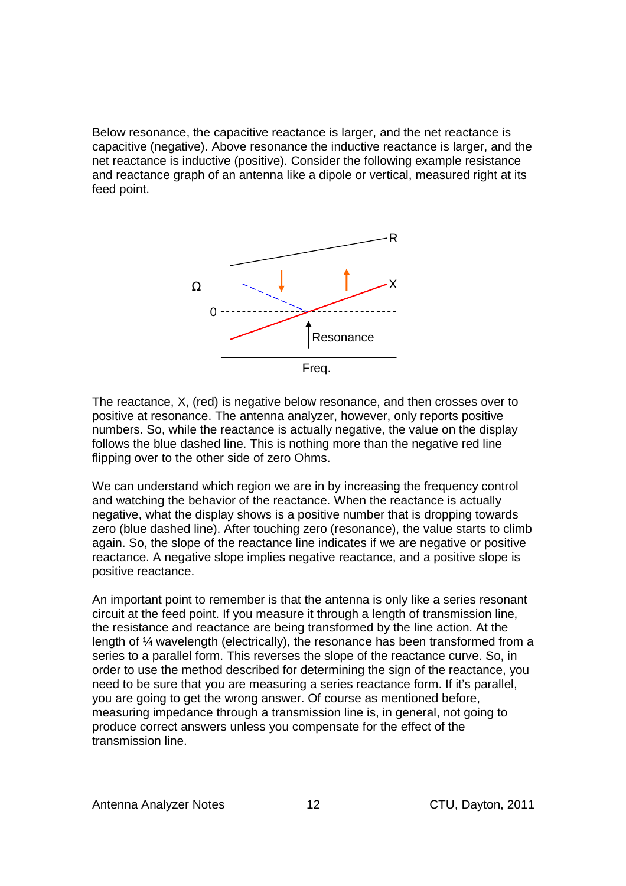Below resonance, the capacitive reactance is larger, and the net reactance is capacitive (negative). Above resonance the inductive reactance is larger, and the net reactance is inductive (positive). Consider the following example resistance and reactance graph of an antenna like a dipole or vertical, measured right at its feed point.



The reactance, X, (red) is negative below resonance, and then crosses over to positive at resonance. The antenna analyzer, however, only reports positive numbers. So, while the reactance is actually negative, the value on the display follows the blue dashed line. This is nothing more than the negative red line flipping over to the other side of zero Ohms.

We can understand which region we are in by increasing the frequency control and watching the behavior of the reactance. When the reactance is actually negative, what the display shows is a positive number that is dropping towards zero (blue dashed line). After touching zero (resonance), the value starts to climb again. So, the slope of the reactance line indicates if we are negative or positive reactance. A negative slope implies negative reactance, and a positive slope is positive reactance.

An important point to remember is that the antenna is only like a series resonant circuit at the feed point. If you measure it through a length of transmission line, the resistance and reactance are being transformed by the line action. At the length of ¼ wavelength (electrically), the resonance has been transformed from a series to a parallel form. This reverses the slope of the reactance curve. So, in order to use the method described for determining the sign of the reactance, you need to be sure that you are measuring a series reactance form. If it's parallel, you are going to get the wrong answer. Of course as mentioned before, measuring impedance through a transmission line is, in general, not going to produce correct answers unless you compensate for the effect of the transmission line.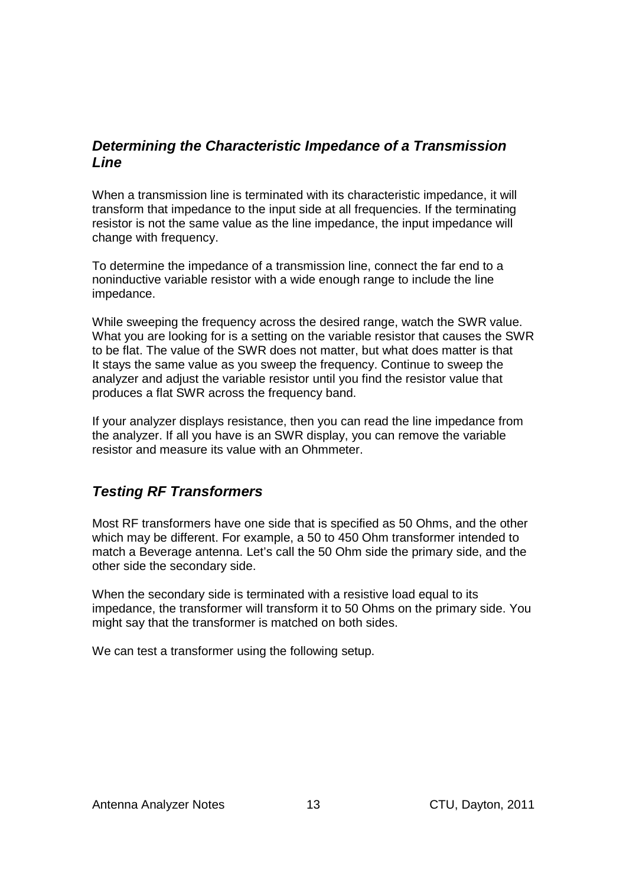#### **Determining the Characteristic Impedance of a Transmission Line**

When a transmission line is terminated with its characteristic impedance, it will transform that impedance to the input side at all frequencies. If the terminating resistor is not the same value as the line impedance, the input impedance will change with frequency.

To determine the impedance of a transmission line, connect the far end to a noninductive variable resistor with a wide enough range to include the line impedance.

While sweeping the frequency across the desired range, watch the SWR value. What you are looking for is a setting on the variable resistor that causes the SWR to be flat. The value of the SWR does not matter, but what does matter is that It stays the same value as you sweep the frequency. Continue to sweep the analyzer and adjust the variable resistor until you find the resistor value that produces a flat SWR across the frequency band.

If your analyzer displays resistance, then you can read the line impedance from the analyzer. If all you have is an SWR display, you can remove the variable resistor and measure its value with an Ohmmeter.

#### **Testing RF Transformers**

Most RF transformers have one side that is specified as 50 Ohms, and the other which may be different. For example, a 50 to 450 Ohm transformer intended to match a Beverage antenna. Let's call the 50 Ohm side the primary side, and the other side the secondary side.

When the secondary side is terminated with a resistive load equal to its impedance, the transformer will transform it to 50 Ohms on the primary side. You might say that the transformer is matched on both sides.

We can test a transformer using the following setup.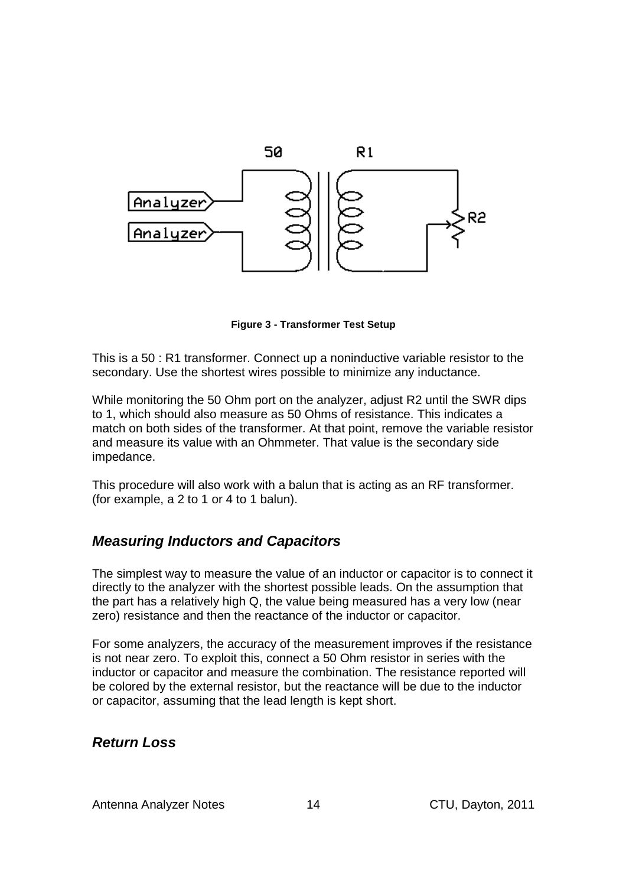

**Figure 3 - Transformer Test Setup** 

This is a 50 : R1 transformer. Connect up a noninductive variable resistor to the secondary. Use the shortest wires possible to minimize any inductance.

While monitoring the 50 Ohm port on the analyzer, adjust R2 until the SWR dips to 1, which should also measure as 50 Ohms of resistance. This indicates a match on both sides of the transformer. At that point, remove the variable resistor and measure its value with an Ohmmeter. That value is the secondary side impedance.

This procedure will also work with a balun that is acting as an RF transformer. (for example, a 2 to 1 or 4 to 1 balun).

#### **Measuring Inductors and Capacitors**

The simplest way to measure the value of an inductor or capacitor is to connect it directly to the analyzer with the shortest possible leads. On the assumption that the part has a relatively high Q, the value being measured has a very low (near zero) resistance and then the reactance of the inductor or capacitor.

For some analyzers, the accuracy of the measurement improves if the resistance is not near zero. To exploit this, connect a 50 Ohm resistor in series with the inductor or capacitor and measure the combination. The resistance reported will be colored by the external resistor, but the reactance will be due to the inductor or capacitor, assuming that the lead length is kept short.

#### **Return Loss**